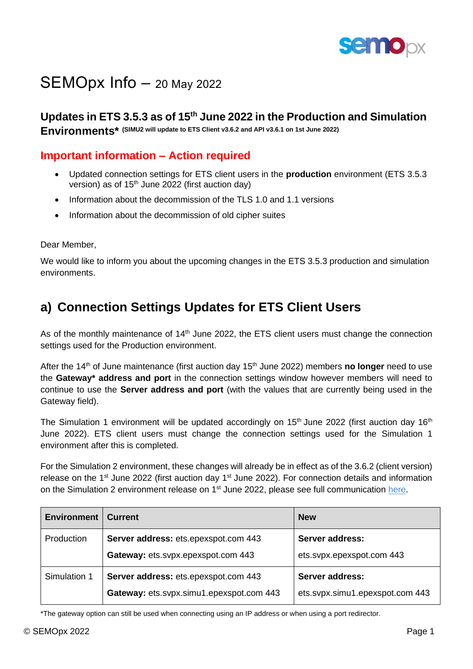

# SEMOpx Info - 20 May 2022

**Updates in ETS 3.5.3 as of 15th June 2022 in the Production and Simulation** 

**Environments\* (SIMU2 will update to ETS Client v3.6.2 and API v3.6.1 on 1st June 2022)**

#### **Important information – Action required**

- Updated connection settings for ETS client users in the **production** environment (ETS 3.5.3 version) as of  $15<sup>th</sup>$  June 2022 (first auction day)
- Information about the decommission of the TLS 1.0 and 1.1 versions
- Information about the decommission of old cipher suites

Dear Member,

We would like to inform you about the upcoming changes in the ETS 3.5.3 production and simulation environments.

# **a) Connection Settings Updates for ETS Client Users**

As of the monthly maintenance of 14<sup>th</sup> June 2022, the ETS client users must change the connection settings used for the Production environment.

After the 14<sup>th</sup> of June maintenance (first auction day 15<sup>th</sup> June 2022) members **no longer** need to use the **Gateway\* address and port** in the connection settings window however members will need to continue to use the **Server address and port** (with the values that are currently being used in the Gateway field).

The Simulation 1 environment will be updated accordingly on 15<sup>th</sup> June 2022 (first auction day 16<sup>th</sup> June 2022). ETS client users must change the connection settings used for the Simulation 1 environment after this is completed.

For the Simulation 2 environment, these changes will already be in effect as of the 3.6.2 (client version) release on the  $1<sup>st</sup>$  June 2022 (first auction day  $1<sup>st</sup>$  June 2022). For connection details and information on the Simulation 2 environment release on 1<sup>st</sup> June 2022, please see full communication [here.](https://www.semopx.com/documents/general-publications/SEMOpx-SCO-Project-SIMU2-Environment-Details.pdf)

| <b>Environment</b> | <b>Current</b>                           | <b>New</b>                      |  |
|--------------------|------------------------------------------|---------------------------------|--|
| <b>Production</b>  | Server address: ets.epexspot.com 443     | <b>Server address:</b>          |  |
|                    | Gateway: ets.svpx.epexspot.com 443       | ets.svpx.epexspot.com 443       |  |
| Simulation 1       | Server address: ets.epexspot.com 443     | <b>Server address:</b>          |  |
|                    | Gateway: ets.svpx.simu1.epexspot.com 443 | ets.svpx.simu1.epexspot.com 443 |  |

\*The gateway option can still be used when connecting using an IP address or when using a port redirector.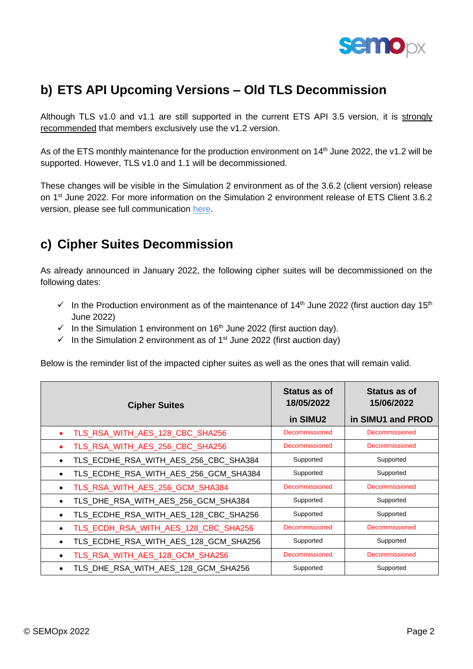

## **b) ETS API Upcoming Versions – Old TLS Decommission**

Although TLS v1.0 and v1.1 are still supported in the current ETS API 3.5 version, it is strongly recommended that members exclusively use the v1.2 version.

As of the ETS monthly maintenance for the production environment on 14<sup>th</sup> June 2022, the v1.2 will be supported. However, TLS v1.0 and 1.1 will be decommissioned.

These changes will be visible in the Simulation 2 environment as of the 3.6.2 (client version) release on 1<sup>st</sup> June 2022. For more information on the Simulation 2 environment release of ETS Client 3.6.2 version, please see full communication [here.](https://www.semopx.com/documents/general-publications/SEMOpx-SCO-Project-SIMU2-Environment-Details.pdf)

## **c) Cipher Suites Decommission**

As already announced in January 2022, the following cipher suites will be decommissioned on the following dates:

- $\checkmark$  In the Production environment as of the maintenance of 14<sup>th</sup> June 2022 (first auction day 15<sup>th</sup> June 2022)
- $\checkmark$  In the Simulation 1 environment on 16<sup>th</sup> June 2022 (first auction day).
- $\checkmark$  In the Simulation 2 environment as of 1<sup>st</sup> June 2022 (first auction day)

Below is the reminder list of the impacted cipher suites as well as the ones that will remain valid.

| <b>Cipher Suites</b>                  | Status as of<br>18/05/2022<br>in SIMU2 | Status as of<br>15/06/2022<br>in SIMU1 and PROD |
|---------------------------------------|----------------------------------------|-------------------------------------------------|
| TLS_RSA_WITH_AES_128_CBC_SHA256       | Decommissioned                         | Decommissioned                                  |
| TLS_RSA_WITH_AES_256_CBC_SHA256       | Decommissioned                         | Decommissioned                                  |
| TLS_ECDHE_RSA_WITH_AES_256_CBC_SHA384 | Supported                              | Supported                                       |
| TLS_ECDHE_RSA_WITH_AES_256_GCM_SHA384 | Supported                              | Supported                                       |
| TLS_RSA_WITH_AES_256_GCM_SHA384       | Decommissioned                         | Decommissioned                                  |
| TLS_DHE_RSA_WITH_AES_256_GCM_SHA384   | Supported                              | Supported                                       |
| TLS_ECDHE_RSA_WITH_AES_128_CBC_SHA256 | Supported                              | Supported                                       |
| TLS_ECDH_RSA_WITH_AES_128_CBC_SHA256  | Decommissioned                         | Decommissioned                                  |
| TLS_ECDHE_RSA_WITH_AES_128_GCM_SHA256 | Supported                              | Supported                                       |
| TLS_RSA_WITH_AES_128_GCM_SHA256       | Decommissioned                         | Decommissioned                                  |
| TLS_DHE_RSA_WITH_AES_128_GCM_SHA256   | Supported                              | Supported                                       |